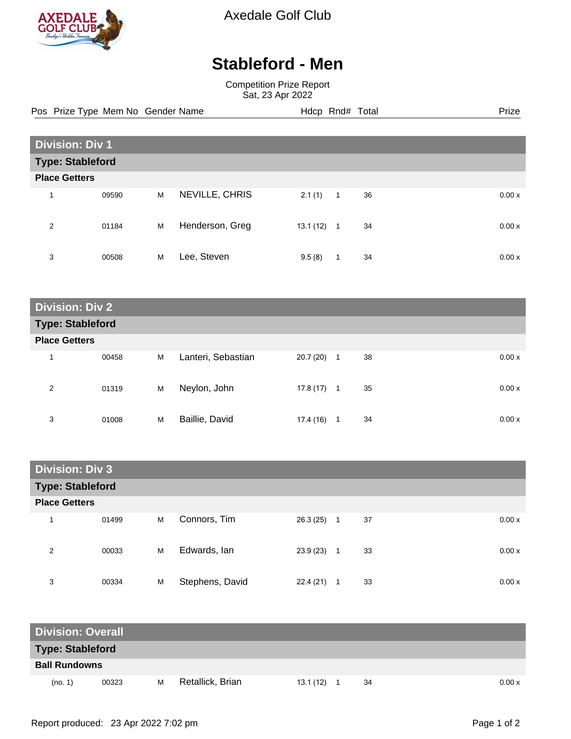

Axedale Golf Club

## **Stableford - Men**

Competition Prize Report Sat, 23 Apr 2022

Pos Prize Type Mem No Gender Name **Hdcp Rnd# Total** Prize Prize

| <b>Division: Div 1</b>  |       |   |                 |           |                |    |  |       |
|-------------------------|-------|---|-----------------|-----------|----------------|----|--|-------|
| <b>Type: Stableford</b> |       |   |                 |           |                |    |  |       |
| <b>Place Getters</b>    |       |   |                 |           |                |    |  |       |
| 1                       | 09590 | M | NEVILLE, CHRIS  | 2.1(1)    | $\overline{1}$ | 36 |  | 0.00x |
| 2                       | 01184 | M | Henderson, Greg | 13.1 (12) | $\mathbf{1}$   | 34 |  | 0.00x |
| 3                       | 00508 | M | Lee, Steven     | 9.5(8)    | 1              | 34 |  | 0.00x |

**Division: Div 2 Type: Stableford Place Getters** 1 00458 M Lanteri, Sebastian 20.7 (20) 1 38 0.00 x 2 01319 M Neylon, John 17.8 (17) 1 35 0.00 x 3 01008 M Baillie, David 17.4 (16) 1 34 0.00 x

| <b>Division: Div 3</b>  |       |   |                 |              |                    |        |  |
|-------------------------|-------|---|-----------------|--------------|--------------------|--------|--|
| <b>Type: Stableford</b> |       |   |                 |              |                    |        |  |
| <b>Place Getters</b>    |       |   |                 |              |                    |        |  |
| 1                       | 01499 | M | Connors, Tim    | $26.3(25)$ 1 | 37                 | 0.00 x |  |
| 2                       | 00033 | M | Edwards, Ian    | 23.9 (23)    | 33<br>$\mathbf{1}$ | 0.00 x |  |
| 3                       | 00334 | M | Stephens, David | 22.4(21)     | 33<br>1            | 0.00x  |  |

| <b>Division: Overall</b> |       |   |                  |          |    |       |
|--------------------------|-------|---|------------------|----------|----|-------|
| <b>Type: Stableford</b>  |       |   |                  |          |    |       |
| <b>Ball Rundowns</b>     |       |   |                  |          |    |       |
| (no. 1)                  | 00323 | м | Retallick, Brian | 13.1(12) | 34 | 0.00x |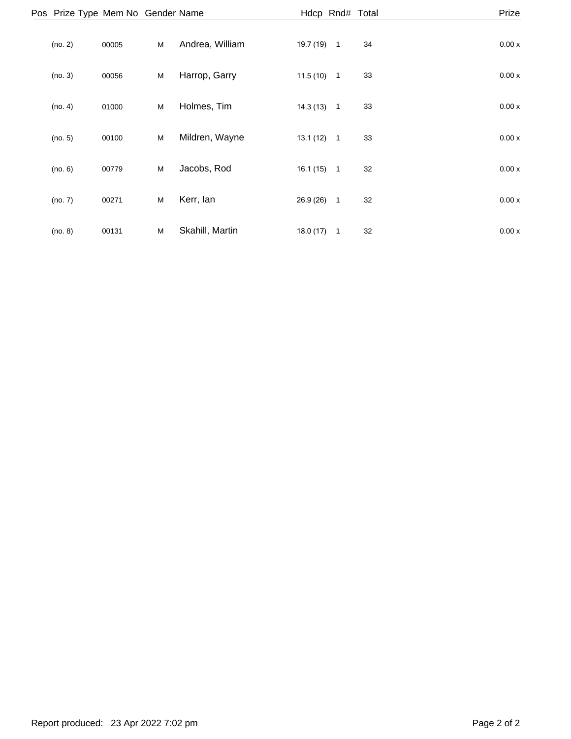| Pos Prize Type Mem No Gender Name |       |   |                 |           | Hdcp Rnd# Total |    | Prize |  |
|-----------------------------------|-------|---|-----------------|-----------|-----------------|----|-------|--|
| (no. 2)                           | 00005 | M | Andrea, William | 19.7 (19) | $\overline{1}$  | 34 | 0.00x |  |
| (no. 3)                           | 00056 | M | Harrop, Garry   | 11.5(10)  | $\overline{1}$  | 33 | 0.00x |  |
| (no. 4)                           | 01000 | M | Holmes, Tim     | 14.3(13)  | $\overline{1}$  | 33 | 0.00x |  |
| (no. 5)                           | 00100 | M | Mildren, Wayne  | 13.1(12)  | $\overline{1}$  | 33 | 0.00x |  |
| (no. 6)                           | 00779 | M | Jacobs, Rod     | 16.1(15)  | $\overline{1}$  | 32 | 0.00x |  |
| (no. 7)                           | 00271 | M | Kerr, lan       | 26.9(26)  | $\overline{1}$  | 32 | 0.00x |  |
| (no. 8)                           | 00131 | M | Skahill, Martin | 18.0(17)  | $\overline{1}$  | 32 | 0.00x |  |